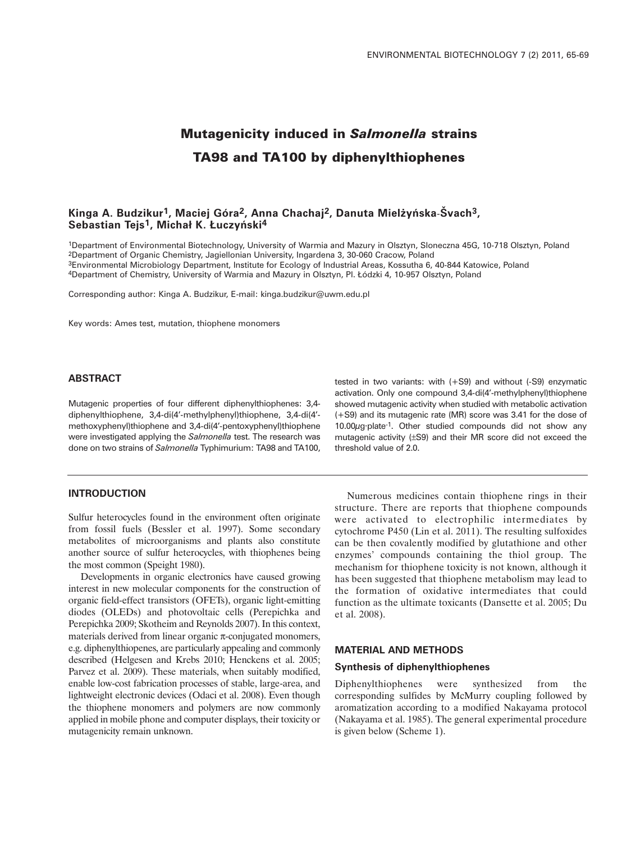# **Mutagenicity induced in** *Salmonella* **strains TA98 and TA100 by diphenylthiophenes**

## **Kinga A. Budzikur1, Maciej Góra2, Anna Chachaj2, Danuta Miel˝yƒska**-**Švach3, Sebastian Tejs1, Michał K. Łuczyƒski4**

1Department of Environmental Biotechnology, University of Warmia and Mazury in Olsztyn, Sloneczna 45G, 10-718 Olsztyn, Poland 2Department of Organic Chemistry, Jagiellonian University, Ingardena 3, 30-060 Cracow, Poland 3Environmental Microbiology Department, Institute for Ecology of Industrial Areas, Kossutha 6, 40-844 Katowice, Poland 4Department of Chemistry, University of Warmia and Mazury in Olsztyn, Pl. Łódzki 4, 10-957 Olsztyn, Poland

Corresponding author: Kinga A. Budzikur, E-mail: kinga.budzikur@uwm.edu.pl

Key words: Ames test, mutation, thiophene monomers

#### **ABSTRACT**

Mutagenic properties of four different diphenylthiophenes: 3,4 diphenylthiophene, 3,4-di(4'-methylphenyl)thiophene, 3,4-di(4' methoxyphenyl)thiophene and 3,4-di(4'-pentoxyphenyl)thiophene were investigated applying the *Salmonella* test. The research was done on two strains of *Salmonella* Typhimurium: TA98 and TA100,

#### **INTRODUCTION**

Sulfur heterocycles found in the environment often originate from fossil fuels (Bessler et al. 1997). Some secondary metabolites of microorganisms and plants also constitute another source of sulfur heterocycles, with thiophenes being the most common (Speight 1980).

Developments in organic electronics have caused growing interest in new molecular components for the construction of organic field-effect transistors (OFETs), organic light-emitting diodes (OLEDs) and photovoltaic cells (Perepichka and Perepichka 2009; Skotheim and Reynolds 2007). In this context, materials derived from linear organic π-conjugated monomers, e.g. diphenylthiopenes, are particularly appealing and commonly described (Helgesen and Krebs 2010; Henckens et al. 2005; Parvez et al. 2009). These materials, when suitably modified, enable low-cost fabrication processes of stable, large-area, and lightweight electronic devices (Odaci et al. 2008). Even though the thiophene monomers and polymers are now commonly applied in mobile phone and computer displays, their toxicity or mutagenicity remain unknown.

tested in two variants: with (+S9) and without (-S9) enzymatic activation. Only one compound 3,4-di(4'-methylphenyl)thiophene showed mutagenic activity when studied with metabolic activation (+S9) and its mutagenic rate (MR) score was 3.41 for the dose of 10.00µg·plate-1. Other studied compounds did not show any mutagenic activity (±S9) and their MR score did not exceed the threshold value of 2.0.

Numerous medicines contain thiophene rings in their structure. There are reports that thiophene compounds were activated to electrophilic intermediates by cytochrome P450 (Lin et al. 2011). The resulting sulfoxides can be then covalently modified by glutathione and other enzymes' compounds containing the thiol group. The mechanism for thiophene toxicity is not known, although it has been suggested that thiophene metabolism may lead to the formation of oxidative intermediates that could function as the ultimate toxicants (Dansette et al. 2005; Du et al. 2008).

## **MATERIAL AND METHODS**

#### **Synthesis of diphenylthiophenes**

Diphenylthiophenes were synthesized from the corresponding sulfides by McMurry coupling followed by aromatization according to a modified Nakayama protocol (Nakayama et al. 1985). The general experimental procedure is given below (Scheme 1).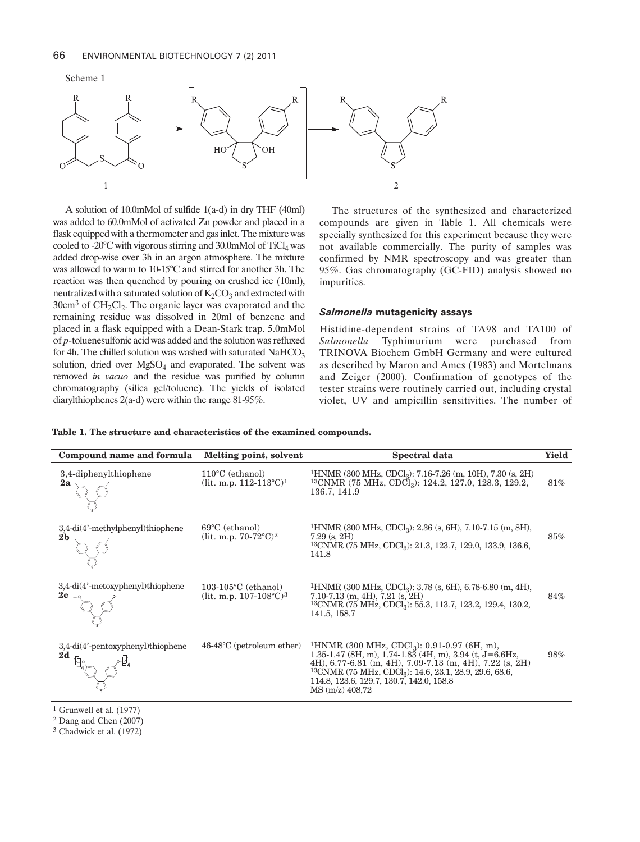

A solution of 10.0mMol of sulfide 1(a-d) in dry THF (40ml) was added to 60.0mMol of activated Zn powder and placed in a flask equipped with a thermometer and gas inlet. The mixture was cooled to -20 $\rm ^oC$  with vigorous stirring and 30.0mMol of  $\rm TiCl_4$  was added drop-wise over 3h in an argon atmosphere. The mixture was allowed to warm to 10-15°C and stirred for another 3h. The reaction was then quenched by pouring on crushed ice (10ml), neutralized with a saturated solution of  $K_2CO_3$  and extracted with  $30 \text{cm}^3$  of CH<sub>2</sub>Cl<sub>2</sub>. The organic layer was evaporated and the remaining residue was dissolved in 20ml of benzene and placed in a flask equipped with a Dean-Stark trap. 5.0mMol of *p*-toluenesulfonic acid was added and the solution was refluxed for 4h. The chilled solution was washed with saturated  $NAHCO<sub>3</sub>$ solution, dried over  $MgSO<sub>4</sub>$  and evaporated. The solvent was removed *in vacuo* and the residue was purified by column chromatography (silica gel/toluene). The yields of isolated diarylthiophenes 2(a-d) were within the range 81-95%.

The structures of the synthesized and characterized compounds are given in Table 1. All chemicals were specially synthesized for this experiment because they were not available commercially. The purity of samples was confirmed by NMR spectroscopy and was greater than 95%. Gas chromatography (GC-FID) analysis showed no impurities.

#### *Salmonella* **mutagenicity assays**

Histidine-dependent strains of TA98 and TA100 of *Salmonella* Typhimurium were purchased from TRINOVA Biochem GmbH Germany and were cultured as described by Maron and Ames (1983) and Mortelmans and Zeiger (2000). Confirmation of genotypes of the tester strains were routinely carried out, including crystal violet, UV and ampicillin sensitivities. The number of

**Table 1. The structure and characteristics of the examined compounds.**

| Compound name and formula                          | Melting point, solvent                                                    | Spectral data                                                                                                                                                                                                                                                                                                                                                    | <b>Yield</b> |
|----------------------------------------------------|---------------------------------------------------------------------------|------------------------------------------------------------------------------------------------------------------------------------------------------------------------------------------------------------------------------------------------------------------------------------------------------------------------------------------------------------------|--------------|
| 3,4-diphenylthiophene<br>2a                        | $110^{\circ}$ C (ethanol)<br>(lit. m.p. $112-113^{\circ}C$ ) <sup>1</sup> | <sup>1</sup> HNMR (300 MHz, CDCl <sub>3</sub> ): 7.16-7.26 (m, 10H), 7.30 (s, 2H)<br>$13$ CNMR (75 MHz, CDCl <sub>3</sub> ): 124.2, 127.0, 128.3, 129.2,<br>136.7, 141.9                                                                                                                                                                                         | 81%          |
| 3,4-di(4'-methylphenyl)thiophene<br>2 <sub>b</sub> | 69°C (ethanol)<br>(lit. m.p. $70-72^{\circ}C$ ) <sup>2</sup>              | $1$ HNMR (300 MHz, CDCl <sub>3</sub> ): 2.36 (s, 6H), 7.10-7.15 (m, 8H),<br>$7.29$ (s, $2H$ )<br>$13$ CNMR (75 MHz, CDCl <sub>3</sub> ): 21.3, 123.7, 129.0, 133.9, 136.6,<br>141.8                                                                                                                                                                              | $85\%$       |
| 3,4-di(4'-metoxyphenyl)thiophene                   | $103-105$ °C (ethanol)<br>(lit. m.p. 107-108°C)3                          | <sup>1</sup> HNMR (300 MHz, CDCl <sub>3</sub> ): 3.78 (s, 6H), 6.78-6.80 (m, 4H),<br>$7.10-7.13$ (m, 4H), $7.21$ (s, 2H)<br>$13$ CNMR (75 MHz, CDCl <sub>3</sub> ): 55.3, 113.7, 123.2, 129.4, 130.2,<br>141.5, 158.7                                                                                                                                            | 84%          |
| 3,4-di(4'-pentoxyphenyl)thiophene<br>2d            | $46-48^{\circ}$ C (petroleum ether)                                       | <sup>1</sup> HNMR (300 MHz, CDCl <sub>3</sub> ): 0.91-0.97 (6H, m),<br>1.35-1.47 (8H, m), $1.74$ -1.83 (4H, m), 3.94 (t, $J=6.6$ Hz,<br>4H), $6.77-6.81$ (m, $4H$ ), $7.09-7.13$ (m, $4H$ ), $7.22$ (s, $2H$ )<br><sup>13</sup> CNMR (75 MHz, CDCl <sub>3</sub> ): 14.6, 23.1, 28.9, 29.6, 68.6,<br>114.8, 123.6, 129.7, 130.7, 142.0, 158.8<br>$MS(m/z)$ 408,72 | 98%          |

 $1$  Grunwell et al. (1977)

2 Dang and Chen (2007)

3 Chadwick et al. (1972)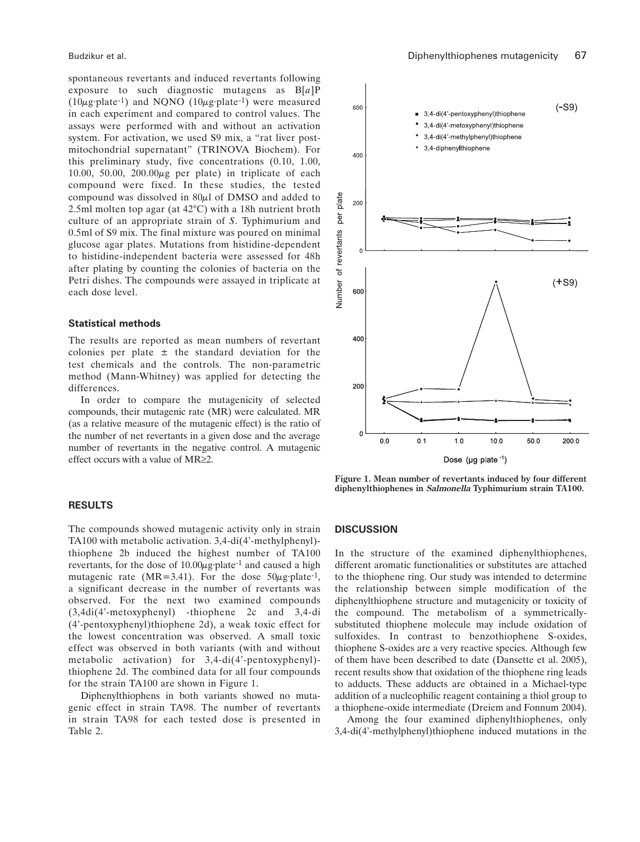spontaneous revertants and induced revertants following exposure to such diagnostic mutagens as B[*a*]P  $(10\mu\text{g}\cdot\text{plate}^{-1})$  and NQNO  $(10\mu\text{g}\cdot\text{plate}^{-1})$  were measured in each experiment and compared to control values. The assays were performed with and without an activation system. For activation, we used S9 mix, a "rat liver postmitochondrial supernatant" (TRINOVA Biochem). For this preliminary study, five concentrations (0.10, 1.00, 10.00, 50.00,  $200.00\mu$ g per plate) in triplicate of each compound were fixed. In these studies, the tested compound was dissolved in 80µl of DMSO and added to 2.5ml molten top agar (at 42°C) with a 18h nutrient broth culture of an appropriate strain of *S*. Typhimurium and 0.5ml of S9 mix. The final mixture was poured on minimal glucose agar plates. Mutations from histidine-dependent to histidine-independent bacteria were assessed for 48h after plating by counting the colonies of bacteria on the Petri dishes. The compounds were assayed in triplicate at each dose level.

#### **Statistical methods**

The results are reported as mean numbers of revertant colonies per plate  $\pm$  the standard deviation for the test chemicals and the controls. The non-parametric method (Mann-Whitney) was applied for detecting the differences.

In order to compare the mutagenicity of selected compounds, their mutagenic rate (MR) were calculated. MR (as a relative measure of the mutagenic effect) is the ratio of the number of net revertants in a given dose and the average number of revertants in the negative control. A mutagenic effect occurs with a value of MR≥2.

#### **RESULTS**

The compounds showed mutagenic activity only in strain TA100 with metabolic activation. 3,4-di(4'-methylphenyl) thiophene 2b induced the highest number of TA100 revertants, for the dose of  $10.00\mu$ g·plate<sup>-1</sup> and caused a high mutagenic rate (MR=3.41). For the dose  $50\mu$ g·plate<sup>-1</sup>, a significant decrease in the number of revertants was observed. For the next two examined compounds (3,4di(4'-metoxyphenyl) -thiophene 2c and 3,4-di (4'-pentoxyphenyl)thiophene 2d), a weak toxic effect for the lowest concentration was observed. A small toxic effect was observed in both variants (with and without metabolic activation) for 3,4-di(4'-pentoxyphenyl) thiophene 2d. The combined data for all four compounds for the strain TA100 are shown in Figure 1.

Diphenylthiophens in both variants showed no mutagenic effect in strain TA98. The number of revertants in strain TA98 for each tested dose is presented in Table 2.



**Figure 1. Mean number of revertants induced by four different diphenylthiophenes in Salmonella Typhimurium strain TA100.**

### **DISCUSSION**

In the structure of the examined diphenylthiophenes, different aromatic functionalities or substitutes are attached to the thiophene ring. Our study was intended to determine the relationship between simple modification of the diphenylthiophene structure and mutagenicity or toxicity of the compound. The metabolism of a symmetricallysubstituted thiophene molecule may include oxidation of sulfoxides. In contrast to benzothiophene S-oxides, thiophene S-oxides are a very reactive species. Although few of them have been described to date (Dansette et al. 2005), recent results show that oxidation of the thiophene ring leads to adducts. These adducts are obtained in a Michael-type addition of a nucleophilic reagent containing a thiol group to a thiophene-oxide intermediate (Dreiem and Fonnum 2004).

Among the four examined diphenylthiophenes, only 3,4-di(4'-methylphenyl)thiophene induced mutations in the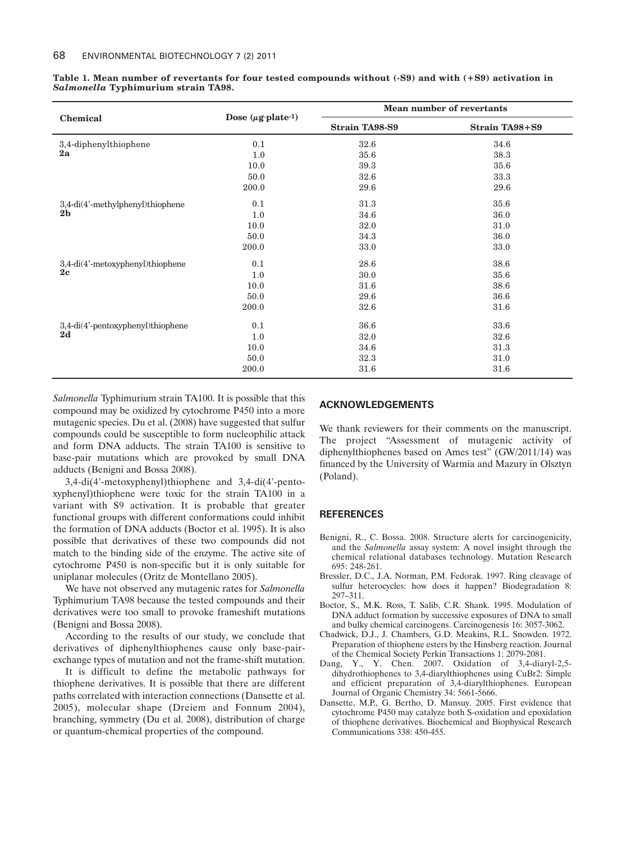| Chemical                                           | Dose $(\mu \mathbf{g} \cdot \mathbf{plate} \cdot \mathbf{1})$ | Mean number of revertants |                       |
|----------------------------------------------------|---------------------------------------------------------------|---------------------------|-----------------------|
|                                                    |                                                               | <b>Strain TA98-S9</b>     | <b>Strain TA98+S9</b> |
| 3,4-diphenylthiophene<br>2a                        | 0.1                                                           | 32.6                      | 34.6                  |
|                                                    | 1.0                                                           | 35.6                      | 38.3                  |
|                                                    | 10.0                                                          | 39.3                      | 35.6                  |
|                                                    | 50.0                                                          | 32.6                      | 33.3                  |
|                                                    | 200.0                                                         | 29.6                      | 29.6                  |
| 3,4-di(4'-methylphenyl)thiophene<br>2 <sub>b</sub> | 0.1                                                           | 31.3                      | 35.6                  |
|                                                    | 1.0                                                           | 34.6                      | 36.0                  |
|                                                    | 10.0                                                          | 32.0                      | 31.0                  |
|                                                    | 50.0                                                          | 34.3                      | 36.0                  |
|                                                    | 200.0                                                         | 33.0                      | 33.0                  |
| 3,4-di(4'-metoxyphenyl)thiophene<br>2c             | 0.1                                                           | 28.6                      | 38.6                  |
|                                                    | 1.0                                                           | 30.0                      | 35.6                  |
|                                                    | 10.0                                                          | 31.6                      | 38.6                  |
|                                                    | 50.0                                                          | 29.6                      | 36.6                  |
|                                                    | 200.0                                                         | 32.6                      | 31.6                  |
| 3,4-di(4'-pentoxyphenyl)thiophene<br>2d            | 0.1                                                           | 36.6                      | 33.6                  |
|                                                    | 1.0                                                           | 32.0                      | 32.6                  |
|                                                    | 10.0                                                          | 34.6                      | 31.3                  |
|                                                    | 50.0                                                          | 32.3                      | 31.0                  |
|                                                    | 200.0                                                         | 31.6                      | 31.6                  |

**Table 1. Mean number of revertants for four tested compounds without (-S9) and with (+S9) activation in** *Salmonella* **Typhimurium strain TA98.**

*Salmonella* Typhimurium strain TA100. It is possible that this compound may be oxidized by cytochrome P450 into a more mutagenic species. Du et al. (2008) have suggested that sulfur compounds could be susceptible to form nucleophilic attack and form DNA adducts. The strain TA100 is sensitive to base-pair mutations which are provoked by small DNA adducts (Benigni and Bossa 2008).

3,4-di(4'-metoxyphenyl)thiophene and 3,4-di(4'-pentoxyphenyl)thiophene were toxic for the strain TA100 in a variant with S9 activation. It is probable that greater functional groups with different conformations could inhibit the formation of DNA adducts (Boctor et al. 1995). It is also possible that derivatives of these two compounds did not match to the binding side of the enzyme. The active site of cytochrome P450 is non-specific but it is only suitable for uniplanar molecules (Oritz de Montellano 2005).

We have not observed any mutagenic rates for *Salmonella* Typhimurium TA98 because the tested compounds and their derivatives were too small to provoke frameshift mutations (Benigni and Bossa 2008).

According to the results of our study, we conclude that derivatives of diphenylthiophenes cause only base-pairexchange types of mutation and not the frame-shift mutation.

It is difficult to define the metabolic pathways for thiophene derivatives. It is possible that there are different paths correlated with interaction connections (Dansette et al. 2005), molecular shape (Dreiem and Fonnum 2004), branching, symmetry (Du et al. 2008), distribution of charge or quantum-chemical properties of the compound.

#### **ACKNOWLEDGEMENTS**

We thank reviewers for their comments on the manuscript. The project "Assessment of mutagenic activity of diphenylthiophenes based on Ames test" (GW/2011/14) was financed by the University of Warmia and Mazury in Olsztyn (Poland).

## **REFERENCES**

- Benigni, R., C. Bossa. 2008. Structure alerts for carcinogenicity, and the *Salmonella* assay system: A novel insight through the chemical relational databases technology. Mutation Research 695: 248-261.
- Bressler, D.C., J.A. Norman, P.M. Fedorak. 1997. Ring cleavage of sulfur heterocycles: how does it happen? Biodegradation 8: 297–311.
- Boctor, S., M.K. Ross, T. Salib, C.R. Shank. 1995. Modulation of DNA adduct formation by successive exposures of DNA to small and bulky chemical carcinogens. Carcinogenesis 16: 3057-3062.
- Chadwick, D.J., J. Chambers, G.D. Meakins, R.L. Snowden. 1972. Preparation of thiophene esters by the Hinsberg reaction. Journal of the Chemical Society Perkin Transactions 1: 2079-2081.
- Dang, Y., Y. Chen. 2007. Oxidation of 3,4-diaryl-2,5 dihydrothiophenes to 3,4-diarylthiophenes using CuBr2: Simple and efficient preparation of 3,4-diarylthiophenes. European Journal of Organic Chemistry 34: 5661-5666.
- Dansette, M.P., G. Bertho, D. Mansuy. 2005. First evidence that cytochrome P450 may catalyze both S-oxidation and epoxidation of thiophene derivatives. Biochemical and Biophysical Research Communications 338: 450-455.